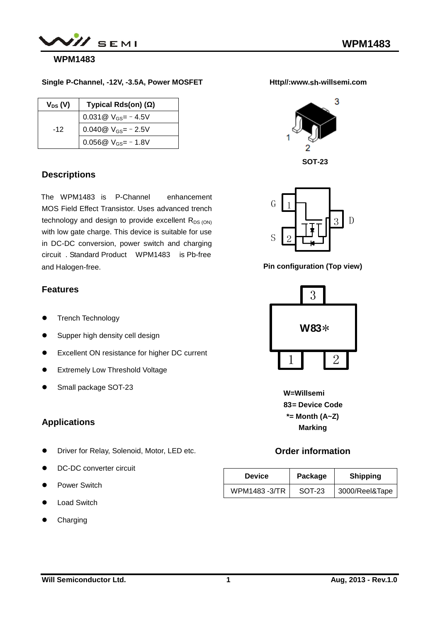

### **WPM1483**

#### **Single P-Channel, -12V, -3.5A, Power MOSFET**

| $V_{DS} (V)$ | Typical Rds(on) ()                           |
|--------------|----------------------------------------------|
|              | 0.031 $\textcircled{v}_{\text{GS}}$ = -4.5V  |
| $-12$        | 0.040 $\textcircled{v}_{\text{GS}}$ = - 2.5V |
|              | 0.056 $@V_{GS}$ = - 1.8V                     |

#### **Descriptions**

The WPM1483 is P-Channel enhancement MOS Field Effect Transistor. Uses advanced trench technology and design to provide excellent  $R_{DS (ON)}$ with low gate charge. This device is suitable for use in DC-DC conversion, power switch and charging circuit . Standard Product - WPM1483 is Pb freeand Halogen-free.

#### **Features**

- Trench Technology
- Supper high density cell design
- Excellent ON resistance for higher DC current
- **•** Extremely Low Threshold Voltage
- Small package SOT-23

#### **Applications**

- Driver for Relay, Solenoid, Motor, LED etc.
- **•** DC-DC converter circuit
- Power Switch
- Load Switch
- Charging





G D S

**Pin configuration (Top view)**



**W=Willsemi Device Code = 83 \*= Month (A~Z) Marking**

#### **Order information**

| <b>Device</b> | Package | <b>Shipping</b> |
|---------------|---------|-----------------|
| WPM1483 -3/TR | SOT-23  | 3000/Reel&Tape  |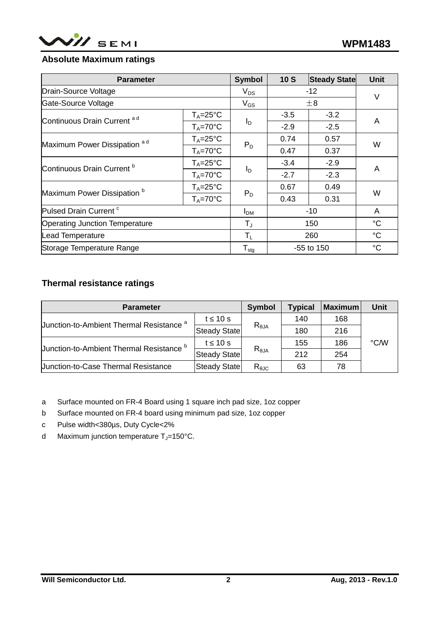

#### **Absolute Maximum ratings**

| <b>Parameter</b>                        | <b>Symbol</b>       | 10S                        | <b>Steady State</b> | <b>Unit</b> |                 |
|-----------------------------------------|---------------------|----------------------------|---------------------|-------------|-----------------|
| Drain-Source Voltage                    |                     | $V_{DS}$                   | $-12$               |             | V               |
| Gate-Source Voltage                     |                     | $V_{GS}$                   | $\pm 8$             |             |                 |
| Continuous Drain Current <sup>ad</sup>  | $T_A = 25^{\circ}C$ |                            | $-3.5$              | $-3.2$      | A               |
|                                         | $T_A = 70^{\circ}C$ | $I_D$                      | $-2.9$              | $-2.5$      |                 |
| Maximum Power Dissipation <sup>ad</sup> | $T_A = 25^{\circ}C$ |                            | 0.74                | 0.57        | W               |
|                                         | $T_A = 70^{\circ}C$ | $P_D$                      | 0.47                | 0.37        |                 |
| Continuous Drain Current <sup>b</sup>   | $T_A = 25^{\circ}C$ |                            | $-3.4$              | $-2.9$      | A               |
|                                         | $T_A = 70^{\circ}C$ | $I_D$                      | $-2.7$              | $-2.3$      |                 |
|                                         | $T_A = 25^{\circ}C$ |                            | 0.67                | 0.49        | W               |
| Maximum Power Dissipation <sup>b</sup>  | $T_A = 70^{\circ}C$ | $P_D$                      | 0.43                | 0.31        |                 |
| Pulsed Drain Current <sup>c</sup>       | I <sub>DM</sub>     | $-10$                      |                     | A           |                 |
| <b>Operating Junction Temperature</b>   |                     |                            | 150                 |             | $\rm ^{\circ}C$ |
| <b>Lead Temperature</b>                 |                     | $T_{L}$                    | 260                 |             | $^{\circ}C$     |
| Storage Temperature Range               |                     | ${\mathsf T}_{\text{stg}}$ | $-55$ to 150        |             | $\rm ^{\circ}C$ |

### **Thermal resistance ratings**

| <b>Parameter</b>                                    | <b>Symbol</b>       | <b>Typical</b> | <b>Maximum</b> | <b>Unit</b> |      |
|-----------------------------------------------------|---------------------|----------------|----------------|-------------|------|
| Junction-to-Ambient Thermal Resistance <sup>a</sup> | 10 <sub>s</sub>     | $R_{JA}$       | 140            | 168         | °C/W |
|                                                     | Steady State        |                | 180            | 216         |      |
| Junction-to-Ambient Thermal Resistance <sup>b</sup> | 10 <sub>s</sub>     | $R_{JA}$       | 155            | 186         |      |
|                                                     | <b>Steady State</b> |                | 212            | 254         |      |
| <b>Junction-to-Case Thermal Resistance</b>          | Steady State        | $R_{JC}$       | 63             | 78          |      |

a Surface mounted on FR-4 Board using 1 square inch pad size, 1oz copper

b Surface mounted on FR-4 board using minimum pad size, 1oz copper

- c Pulse width<380µs, Duty Cycle<2%
- d Maximum junction temperature  $T_J=150^{\circ}C$ .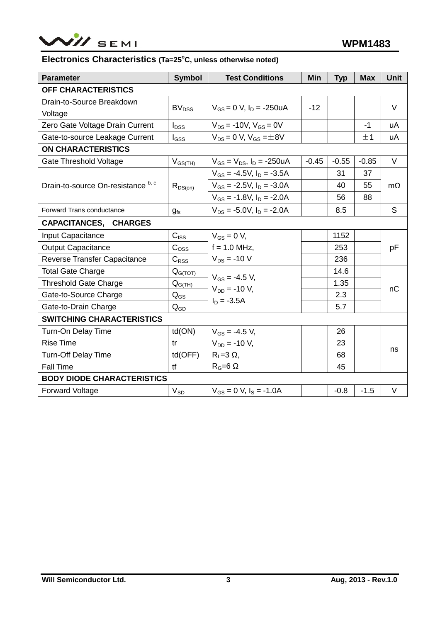

### **Electronics Characteristics (Ta=25<sup>o</sup>C, unless otherwise noted)**

| <b>Parameter</b>                     | <b>Symbol</b>           | <b>Test Conditions</b>              | <b>Min</b> | <b>Typ</b> | <b>Max</b> | <b>Unit</b> |  |  |
|--------------------------------------|-------------------------|-------------------------------------|------------|------------|------------|-------------|--|--|
| OFF CHARACTERISTICS                  |                         |                                     |            |            |            |             |  |  |
| Drain-to-Source Breakdown<br>Voltage | <b>BV<sub>DSS</sub></b> | $V_{GS} = 0$ V, $I_D = -250$ uA     | $-12$      |            |            | V           |  |  |
| Zero Gate Voltage Drain Current      | $I_{DSS}$               | $V_{DS}$ = -10V, $V_{GS}$ = 0V      |            |            | $-1$       | uA          |  |  |
| Gate-to-source Leakage Current       | $I_{GSS}$               | $V_{DS} = 0 V$ , $V_{GS} = \pm 8V$  |            |            | ±1         | uA          |  |  |
| <b>ON CHARACTERISTICS</b>            |                         |                                     |            |            |            |             |  |  |
| <b>Gate Threshold Voltage</b>        | $V_{GS(TH)}$            | $V_{GS} = V_{DS}$ , $I_D = -250uA$  | $-0.45$    | $-0.55$    | $-0.85$    | $\vee$      |  |  |
|                                      |                         | $V_{GS}$ = -4.5V, $I_D$ = -3.5A     |            | 31         | 37         |             |  |  |
| Drain-to-source On-resistance b, c   | $R_{DS(on)}$            | $V_{GS}$ = -2.5V, $I_D$ = -3.0A     |            | 40         | 55         | m           |  |  |
|                                      |                         | $V_{GS} = -1.8V$ , $I_D = -2.0A$    |            | 56         | 88         |             |  |  |
| <b>Forward Trans conductance</b>     | $g_{fs}$                | $V_{DS}$ = -5.0V, $I_D$ = -2.0A     |            | 8.5        |            | S           |  |  |
| CAPACITANCES, CHARGES                |                         |                                     |            |            |            |             |  |  |
| Input Capacitance                    | $C_{ISS}$               | $V_{GS} = 0 V$ ,                    |            | 1152       |            |             |  |  |
| <b>Output Capacitance</b>            | C <sub>oss</sub>        | $f = 1.0$ MHz,                      |            | 253        |            | pF          |  |  |
| Reverse Transfer Capacitance         | $C_{RSS}$               | $V_{DS} = -10 V$                    |            | 236        |            |             |  |  |
| <b>Total Gate Charge</b>             | $Q_{G(TOT)}$            |                                     |            | 14.6       |            |             |  |  |
| <b>Threshold Gate Charge</b>         | $Q_{G(TH)}$             | $V_{GS} = -4.5 V$ ,                 |            | 1.35       |            |             |  |  |
| Gate-to-Source Charge                | $Q_{GS}$                | $V_{DD} = -10 V$ ,<br>$I_D = -3.5A$ |            | 2.3        |            | nC          |  |  |
| Gate-to-Drain Charge                 | $Q_{GD}$                |                                     |            | 5.7        |            |             |  |  |
| <b>SWITCHING CHARACTERISTICS</b>     |                         |                                     |            |            |            |             |  |  |
| Turn-On Delay Time                   | td(ON)                  | $V_{GS} = -4.5 V$ ,                 |            | 26         |            |             |  |  |
| <b>Rise Time</b>                     | tr                      | $V_{DD} = -10 V$ ,                  |            | 23         |            |             |  |  |
| <b>Turn-Off Delay Time</b>           | td(OFF)                 | $R_L = 3$ ,                         |            | 68         |            | ns          |  |  |
| Fall Time                            | tf                      | $R_G=6$<br>45                       |            |            |            |             |  |  |
| <b>BODY DIODE CHARACTERISTICS</b>    |                         |                                     |            |            |            |             |  |  |
| <b>Forward Voltage</b>               | $V_{SD}$                | $V_{GS} = 0$ V, $I_S = -1.0$ A      |            | $-0.8$     | $-1.5$     | $\vee$      |  |  |
|                                      |                         |                                     |            |            |            |             |  |  |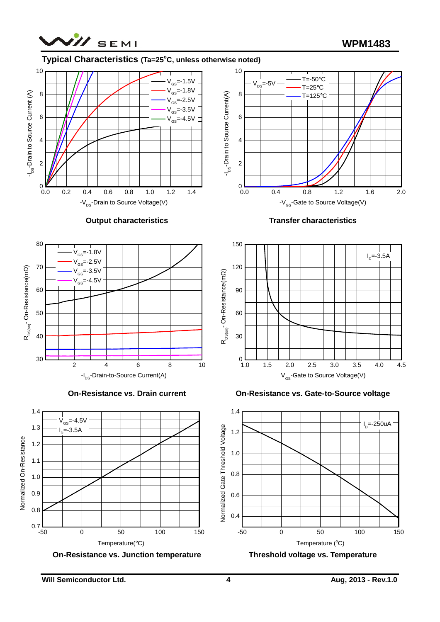

## **Typical Characteristics (Ta=25<sup>o</sup>C, unless otherwise noted)**



**Output characteristics**















**On-Resistance vs. Gate-to-Source voltage**





**Will Semiconductor Ltd. 4 Aug, 2013 - Rev.1.0**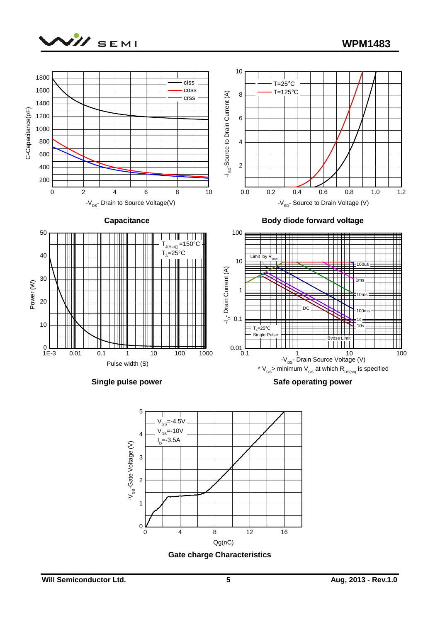









**Gate charge Characteristics**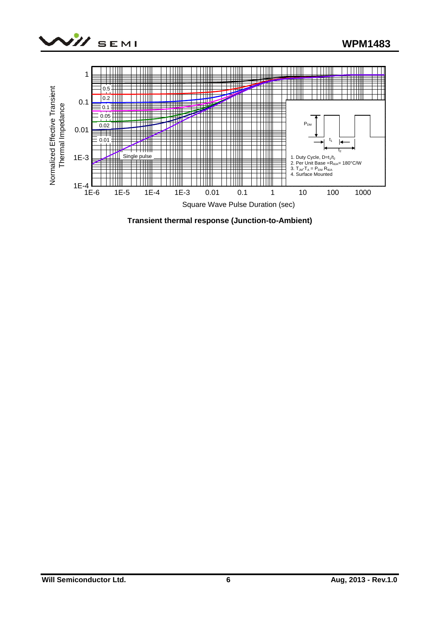



**Transient thermal response (Junction-to-Ambient)**